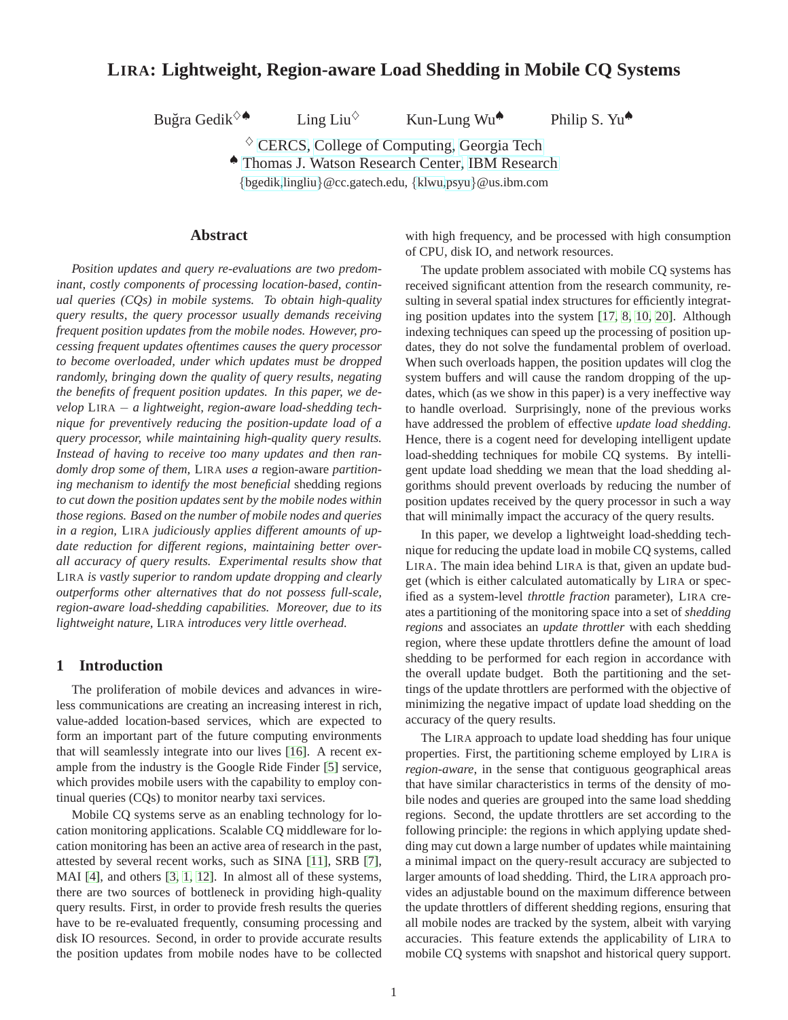# **LIRA: Lightweight, Region-aware Load Shedding in Mobile CQ Systems**

Buğra Gedik<sup>√</sup>

Ling Liu<sup> $\diamond$ </sup> Kun-Lung Wu $\spadesuit$  Philip S. Yu $\spadesuit$ 

 $\diamond$  [CERCS,](http://www.cercs.gatech.edu) [College of Computing,](http://www.cc.gatech.edu) [Georgia Tech](http://www.gatech.edu) ♠ [Thomas J. Watson Research Center,](http://www.watson.ibm.com) [IBM Research](http://www.research.ibm.com)

{[bgedik,](mailto:bgedik@cc.gatech.edu)[lingliu](mailto:lingliu@cc.gatech.edu)}@cc.gatech.edu, {[klwu](mailto:klwu@us.ibm.com)[,psyu](mailto:psyu@us.ibm.com)}@us.ibm.com

**Abstract**

*Position updates and query re-evaluations are two predominant, costly components of processing location-based, continual queries (CQs) in mobile systems. To obtain high-quality query results, the query processor usually demands receiving frequent position updates from the mobile nodes. However, processing frequent updates oftentimes causes the query processor to become overloaded, under which updates must be dropped randomly, bringing down the quality of query results, negating the benefits of frequent position updates. In this paper, we develop* LIRA − *a lightweight, region-aware load-shedding technique for preventively reducing the position-update load of a query processor, while maintaining high-quality query results. Instead of having to receive too many updates and then randomly drop some of them,* LIRA *uses a* region-aware *partitioning mechanism to identify the most beneficial* shedding regions *to cut down the position updates sent by the mobile nodes within those regions. Based on the number of mobile nodes and queries in a region,* LIRA *judiciously applies different amounts of update reduction for different regions, maintaining better overall accuracy of query results. Experimental results show that* LIRA *is vastly superior to random update dropping and clearly outperforms other alternatives that do not possess full-scale, region-aware load-shedding capabilities. Moreover, due to its lightweight nature,* LIRA *introduces very little overhead.*

# **1 Introduction**

The proliferation of mobile devices and advances in wireless communications are creating an increasing interest in rich, value-added location-based services, which are expected to form an important part of the future computing environments that will seamlessly integrate into our lives [\[16\]](#page-12-0). A recent example from the industry is the Google Ride Finder [\[5\]](#page-11-0) service, which provides mobile users with the capability to employ continual queries (CQs) to monitor nearby taxi services.

Mobile CQ systems serve as an enabling technology for location monitoring applications. Scalable CQ middleware for location monitoring has been an active area of research in the past, attested by several recent works, such as SINA [\[11\]](#page-11-1), SRB [\[7\]](#page-11-2), MAI [\[4\]](#page-11-3), and others [\[3,](#page-11-4) [1,](#page-11-5) [12\]](#page-12-1). In almost all of these systems, there are two sources of bottleneck in providing high-quality query results. First, in order to provide fresh results the queries have to be re-evaluated frequently, consuming processing and disk IO resources. Second, in order to provide accurate results the position updates from mobile nodes have to be collected with high frequency, and be processed with high consumption of CPU, disk IO, and network resources.

The update problem associated with mobile CQ systems has received significant attention from the research community, resulting in several spatial index structures for efficiently integrating position updates into the system [\[17,](#page-12-2) [8,](#page-11-6) [10,](#page-11-7) [20\]](#page-12-3). Although indexing techniques can speed up the processing of position updates, they do not solve the fundamental problem of overload. When such overloads happen, the position updates will clog the system buffers and will cause the random dropping of the updates, which (as we show in this paper) is a very ineffective way to handle overload. Surprisingly, none of the previous works have addressed the problem of effective *update load shedding*. Hence, there is a cogent need for developing intelligent update load-shedding techniques for mobile CQ systems. By intelligent update load shedding we mean that the load shedding algorithms should prevent overloads by reducing the number of position updates received by the query processor in such a way that will minimally impact the accuracy of the query results.

In this paper, we develop a lightweight load-shedding technique for reducing the update load in mobile CQ systems, called LIRA. The main idea behind LIRA is that, given an update budget (which is either calculated automatically by LIRA or specified as a system-level *throttle fraction* parameter), LIRA creates a partitioning of the monitoring space into a set of *shedding regions* and associates an *update throttler* with each shedding region, where these update throttlers define the amount of load shedding to be performed for each region in accordance with the overall update budget. Both the partitioning and the settings of the update throttlers are performed with the objective of minimizing the negative impact of update load shedding on the accuracy of the query results.

The LIRA approach to update load shedding has four unique properties. First, the partitioning scheme employed by LIRA is *region-aware*, in the sense that contiguous geographical areas that have similar characteristics in terms of the density of mobile nodes and queries are grouped into the same load shedding regions. Second, the update throttlers are set according to the following principle: the regions in which applying update shedding may cut down a large number of updates while maintaining a minimal impact on the query-result accuracy are subjected to larger amounts of load shedding. Third, the LIRA approach provides an adjustable bound on the maximum difference between the update throttlers of different shedding regions, ensuring that all mobile nodes are tracked by the system, albeit with varying accuracies. This feature extends the applicability of LIRA to mobile CQ systems with snapshot and historical query support.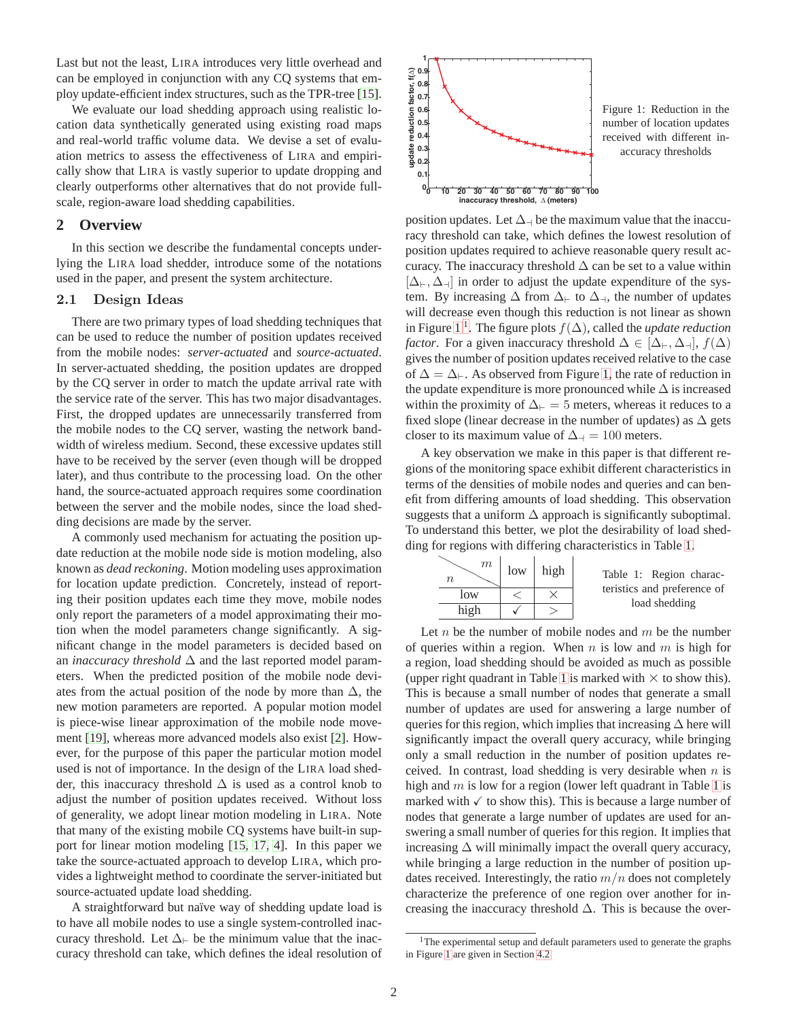Last but not the least, LIRA introduces very little overhead and can be employed in conjunction with any CQ systems that employ update-efficient index structures, such as the TPR-tree [\[15\]](#page-12-4).

We evaluate our load shedding approach using realistic location data synthetically generated using existing road maps and real-world traffic volume data. We devise a set of evaluation metrics to assess the effectiveness of LIRA and empirically show that LIRA is vastly superior to update dropping and clearly outperforms other alternatives that do not provide fullscale, region-aware load shedding capabilities.

# **2 Overview**

In this section we describe the fundamental concepts underlying the LIRA load shedder, introduce some of the notations used in the paper, and present the system architecture.

# 2.1 Design Ideas

There are two primary types of load shedding techniques that can be used to reduce the number of position updates received from the mobile nodes: *server-actuated* and *source-actuated*. In server-actuated shedding, the position updates are dropped by the CQ server in order to match the update arrival rate with the service rate of the server. This has two major disadvantages. First, the dropped updates are unnecessarily transferred from the mobile nodes to the CQ server, wasting the network bandwidth of wireless medium. Second, these excessive updates still have to be received by the server (even though will be dropped later), and thus contribute to the processing load. On the other hand, the source-actuated approach requires some coordination between the server and the mobile nodes, since the load shedding decisions are made by the server.

A commonly used mechanism for actuating the position update reduction at the mobile node side is motion modeling, also known as *dead reckoning*. Motion modeling uses approximation for location update prediction. Concretely, instead of reporting their position updates each time they move, mobile nodes only report the parameters of a model approximating their motion when the model parameters change significantly. A significant change in the model parameters is decided based on an *inaccuracy threshold* ∆ and the last reported model parameters. When the predicted position of the mobile node deviates from the actual position of the node by more than  $\Delta$ , the new motion parameters are reported. A popular motion model is piece-wise linear approximation of the mobile node movement [\[19\]](#page-12-5), whereas more advanced models also exist [\[2\]](#page-11-8). However, for the purpose of this paper the particular motion model used is not of importance. In the design of the LIRA load shedder, this inaccuracy threshold  $\Delta$  is used as a control knob to adjust the number of position updates received. Without loss of generality, we adopt linear motion modeling in LIRA. Note that many of the existing mobile CQ systems have built-in support for linear motion modeling [\[15,](#page-12-4) [17,](#page-12-2) [4\]](#page-11-3). In this paper we take the source-actuated approach to develop LIRA, which provides a lightweight method to coordinate the server-initiated but source-actuated update load shedding.

A straightforward but naïve way of shedding update load is to have all mobile nodes to use a single system-controlled inaccuracy threshold. Let  $\Delta_{\vdash}$  be the minimum value that the inaccuracy threshold can take, which defines the ideal resolution of



<span id="page-1-0"></span>Figure 1: Reduction in the number of location updates received with different inaccuracy thresholds

position updates. Let  $\Delta_{\text{z}}$  be the maximum value that the inaccuracy threshold can take, which defines the lowest resolution of position updates required to achieve reasonable query result accuracy. The inaccuracy threshold  $\Delta$  can be set to a value within  $[\Delta_{\vdash}, \Delta_{\dashv}]$  in order to adjust the update expenditure of the system. By increasing  $\Delta$  from  $\Delta_{\vdash}$  to  $\Delta_{\dashv}$ , the number of updates will decrease even though this reduction is not linear as shown in Figure [1](#page-1-0)<sup>[1](#page-1-1)</sup>. The figure plots  $f(\Delta)$ , called the *update reduction factor*. For a given inaccuracy threshold  $\Delta \in [\Delta_{\vdash}, \Delta_{\dashv}], f(\Delta)$ gives the number of position updates received relative to the case of  $\Delta = \Delta_{\vdash}$ . As observed from Figure [1,](#page-1-0) the rate of reduction in the update expenditure is more pronounced while  $\Delta$  is increased within the proximity of  $\Delta_{\vdash} = 5$  meters, whereas it reduces to a fixed slope (linear decrease in the number of updates) as  $\Delta$  gets closer to its maximum value of  $\Delta$ <sub>→</sub> = 100 meters.

A key observation we make in this paper is that different regions of the monitoring space exhibit different characteristics in terms of the densities of mobile nodes and queries and can benefit from differing amounts of load shedding. This observation suggests that a uniform  $\Delta$  approach is significantly suboptimal. To understand this better, we plot the desirability of load shedding for regions with differing characteristics in Table [1.](#page-1-2)

<span id="page-1-2"></span>

| m<br>n | low | high | Table 1: Region charac-                      |
|--------|-----|------|----------------------------------------------|
| low    |     |      | teristics and preference of<br>load shedding |
| high   |     |      |                                              |

Let  $n$  be the number of mobile nodes and  $m$  be the number of queries within a region. When  $n$  is low and  $m$  is high for a region, load shedding should be avoided as much as possible (upper right quadrant in Table [1](#page-1-2) is marked with  $\times$  to show this). This is because a small number of nodes that generate a small number of updates are used for answering a large number of queries for this region, which implies that increasing  $\Delta$  here will significantly impact the overall query accuracy, while bringing only a small reduction in the number of position updates received. In contrast, load shedding is very desirable when  $n$  is high and  $m$  is low for a region (lower left quadrant in Table [1](#page-1-2) is marked with  $\checkmark$  to show this). This is because a large number of nodes that generate a large number of updates are used for answering a small number of queries for this region. It implies that increasing  $\Delta$  will minimally impact the overall query accuracy, while bringing a large reduction in the number of position updates received. Interestingly, the ratio  $m/n$  does not completely characterize the preference of one region over another for increasing the inaccuracy threshold  $\Delta$ . This is because the over-

<span id="page-1-1"></span><sup>&</sup>lt;sup>1</sup>The experimental setup and default parameters used to generate the graphs in Figure [1](#page-1-0) are given in Section [4.2](#page-7-0)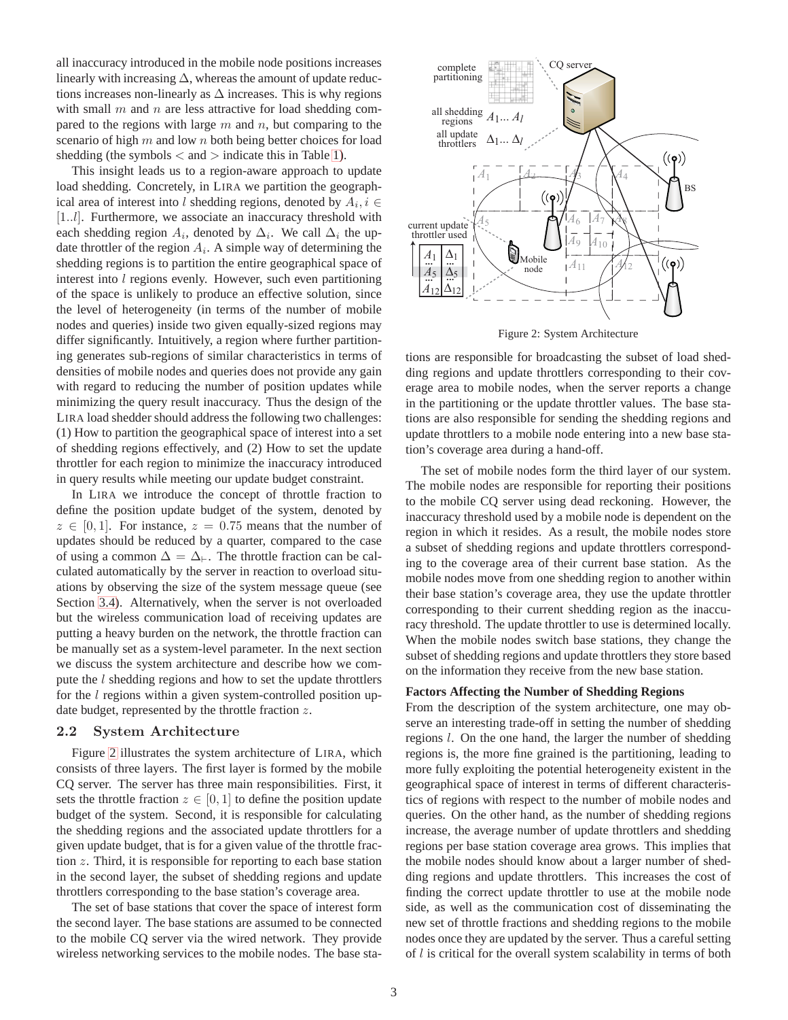all inaccuracy introduced in the mobile node positions increases linearly with increasing  $\Delta$ , whereas the amount of update reductions increases non-linearly as  $\Delta$  increases. This is why regions with small  $m$  and  $n$  are less attractive for load shedding compared to the regions with large  $m$  and  $n$ , but comparing to the scenario of high  $m$  and low  $n$  both being better choices for load shedding (the symbols  $\langle$  and  $\rangle$  indicate this in Table [1\)](#page-1-2).

This insight leads us to a region-aware approach to update load shedding. Concretely, in LIRA we partition the geographical area of interest into l shedding regions, denoted by  $A_i, i \in$ [1..*l*]. Furthermore, we associate an inaccuracy threshold with each shedding region  $A_i$ , denoted by  $\Delta_i$ . We call  $\Delta_i$  the update throttler of the region  $A_i$ . A simple way of determining the shedding regions is to partition the entire geographical space of interest into *l* regions evenly. However, such even partitioning of the space is unlikely to produce an effective solution, since the level of heterogeneity (in terms of the number of mobile nodes and queries) inside two given equally-sized regions may differ significantly. Intuitively, a region where further partitioning generates sub-regions of similar characteristics in terms of densities of mobile nodes and queries does not provide any gain with regard to reducing the number of position updates while minimizing the query result inaccuracy. Thus the design of the LIRA load shedder should address the following two challenges: (1) How to partition the geographical space of interest into a set of shedding regions effectively, and (2) How to set the update throttler for each region to minimize the inaccuracy introduced in query results while meeting our update budget constraint.

In LIRA we introduce the concept of throttle fraction to define the position update budget of the system, denoted by  $z \in [0, 1]$ . For instance,  $z = 0.75$  means that the number of updates should be reduced by a quarter, compared to the case of using a common  $\Delta = \Delta_{\vdash}$ . The throttle fraction can be calculated automatically by the server in reaction to overload situations by observing the size of the system message queue (see Section [3.4\)](#page-6-0). Alternatively, when the server is not overloaded but the wireless communication load of receiving updates are putting a heavy burden on the network, the throttle fraction can be manually set as a system-level parameter. In the next section we discuss the system architecture and describe how we compute the  $l$  shedding regions and how to set the update throttlers for the  $l$  regions within a given system-controlled position update budget, represented by the throttle fraction z.

## 2.2 System Architecture

Figure [2](#page-2-0) illustrates the system architecture of LIRA, which consists of three layers. The first layer is formed by the mobile CQ server. The server has three main responsibilities. First, it sets the throttle fraction  $z \in [0, 1]$  to define the position update budget of the system. Second, it is responsible for calculating the shedding regions and the associated update throttlers for a given update budget, that is for a given value of the throttle fraction z. Third, it is responsible for reporting to each base station in the second layer, the subset of shedding regions and update throttlers corresponding to the base station's coverage area.

The set of base stations that cover the space of interest form the second layer. The base stations are assumed to be connected to the mobile CQ server via the wired network. They provide wireless networking services to the mobile nodes. The base sta-



<span id="page-2-0"></span>Figure 2: System Architecture

tions are responsible for broadcasting the subset of load shedding regions and update throttlers corresponding to their coverage area to mobile nodes, when the server reports a change in the partitioning or the update throttler values. The base stations are also responsible for sending the shedding regions and update throttlers to a mobile node entering into a new base station's coverage area during a hand-off.

The set of mobile nodes form the third layer of our system. The mobile nodes are responsible for reporting their positions to the mobile CQ server using dead reckoning. However, the inaccuracy threshold used by a mobile node is dependent on the region in which it resides. As a result, the mobile nodes store a subset of shedding regions and update throttlers corresponding to the coverage area of their current base station. As the mobile nodes move from one shedding region to another within their base station's coverage area, they use the update throttler corresponding to their current shedding region as the inaccuracy threshold. The update throttler to use is determined locally. When the mobile nodes switch base stations, they change the subset of shedding regions and update throttlers they store based on the information they receive from the new base station.

## **Factors Affecting the Number of Shedding Regions**

From the description of the system architecture, one may observe an interesting trade-off in setting the number of shedding regions l. On the one hand, the larger the number of shedding regions is, the more fine grained is the partitioning, leading to more fully exploiting the potential heterogeneity existent in the geographical space of interest in terms of different characteristics of regions with respect to the number of mobile nodes and queries. On the other hand, as the number of shedding regions increase, the average number of update throttlers and shedding regions per base station coverage area grows. This implies that the mobile nodes should know about a larger number of shedding regions and update throttlers. This increases the cost of finding the correct update throttler to use at the mobile node side, as well as the communication cost of disseminating the new set of throttle fractions and shedding regions to the mobile nodes once they are updated by the server. Thus a careful setting of  $l$  is critical for the overall system scalability in terms of both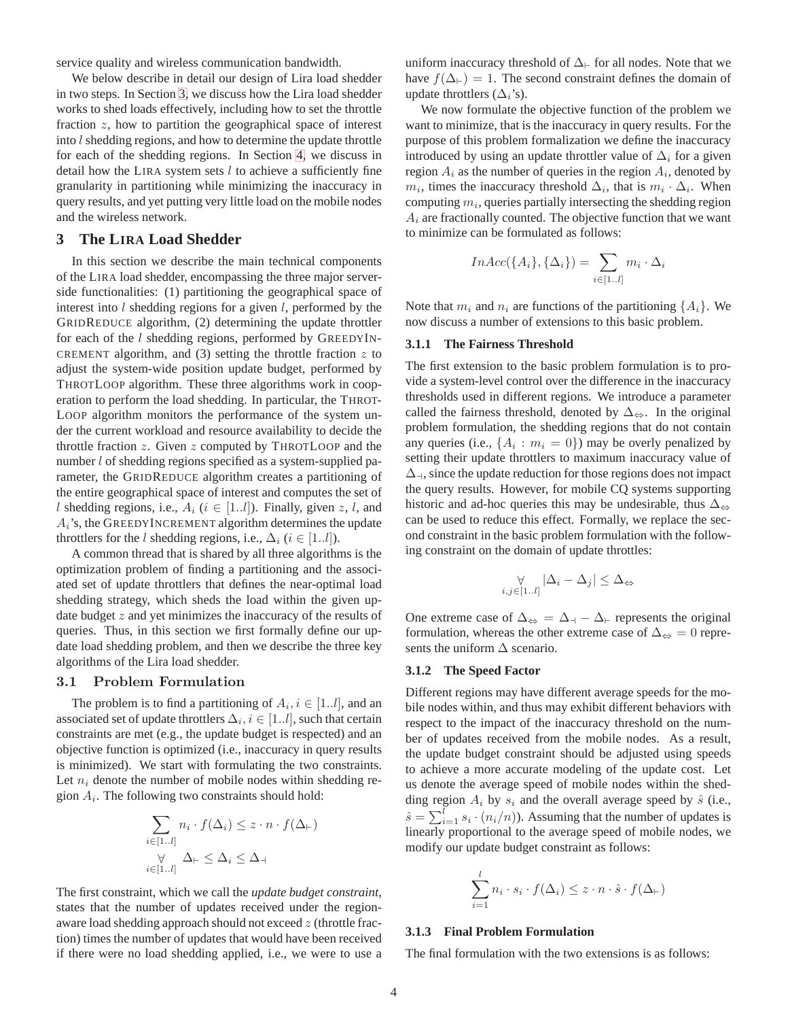service quality and wireless communication bandwidth.

We below describe in detail our design of Lira load shedder in two steps. In Section [3,](#page-3-0) we discuss how the Lira load shedder works to shed loads effectively, including how to set the throttle fraction z, how to partition the geographical space of interest into  $l$  shedding regions, and how to determine the update throttle for each of the shedding regions. In Section [4,](#page-7-1) we discuss in detail how the LIRA system sets  $l$  to achieve a sufficiently fine granularity in partitioning while minimizing the inaccuracy in query results, and yet putting very little load on the mobile nodes and the wireless network.

# <span id="page-3-0"></span>**3 The LIRA Load Shedder**

In this section we describe the main technical components of the LIRA load shedder, encompassing the three major serverside functionalities: (1) partitioning the geographical space of interest into  $l$  shedding regions for a given  $l$ , performed by the GRIDREDUCE algorithm, (2) determining the update throttler for each of the l shedding regions, performed by GREEDYIN-CREMENT algorithm, and  $(3)$  setting the throttle fraction  $z$  to adjust the system-wide position update budget, performed by THROTLOOP algorithm. These three algorithms work in cooperation to perform the load shedding. In particular, the THROT-LOOP algorithm monitors the performance of the system under the current workload and resource availability to decide the throttle fraction  $z$ . Given  $z$  computed by THROTLOOP and the number *l* of shedding regions specified as a system-supplied parameter, the GRIDREDUCE algorithm creates a partitioning of the entire geographical space of interest and computes the set of l shedding regions, i.e.,  $A_i$  ( $i \in [1..l]$ ). Finally, given z, l, and  $A_i$ 's, the GREEDYINCREMENT algorithm determines the update throttlers for the l shedding regions, i.e.,  $\Delta_i$  ( $i \in [1..l]$ ).

A common thread that is shared by all three algorithms is the optimization problem of finding a partitioning and the associated set of update throttlers that defines the near-optimal load shedding strategy, which sheds the load within the given update budget  $z$  and yet minimizes the inaccuracy of the results of queries. Thus, in this section we first formally define our update load shedding problem, and then we describe the three key algorithms of the Lira load shedder.

## 3.1 Problem Formulation

The problem is to find a partitioning of  $A_i$ ,  $i \in [1..l]$ , and an associated set of update throttlers  $\Delta_i, i \in [1..l]$ , such that certain constraints are met (e.g., the update budget is respected) and an objective function is optimized (i.e., inaccuracy in query results is minimized). We start with formulating the two constraints. Let  $n_i$  denote the number of mobile nodes within shedding region  $A_i$ . The following two constraints should hold:

$$
\sum_{i \in [1..l]} n_i \cdot f(\Delta_i) \le z \cdot n \cdot f(\Delta_{\vdash})
$$
  
\n
$$
\forall \forall \sum_{i \in [1..l]} \Delta_{\vdash} \le \Delta_i \le \Delta_{\dashv}
$$

The first constraint, which we call the *update budget constraint*, states that the number of updates received under the regionaware load shedding approach should not exceed z (throttle fraction) times the number of updates that would have been received if there were no load shedding applied, i.e., we were to use a uniform inaccuracy threshold of  $\Delta_{\vdash}$  for all nodes. Note that we have  $f(\Delta_{\vdash}) = 1$ . The second constraint defines the domain of update throttlers  $(\Delta_i)$ 's).

We now formulate the objective function of the problem we want to minimize, that is the inaccuracy in query results. For the purpose of this problem formalization we define the inaccuracy introduced by using an update throttler value of  $\Delta_i$  for a given region  $A_i$  as the number of queries in the region  $A_i$ , denoted by  $m_i$ , times the inaccuracy threshold  $\Delta_i$ , that is  $m_i \cdot \Delta_i$ . When computing  $m_i$ , queries partially intersecting the shedding region  $A_i$  are fractionally counted. The objective function that we want to minimize can be formulated as follows:

$$
InAcc({Ai}, {\Deltai}) = \sum_{i \in [1..l]} m_i \cdot \Delta_i
$$

Note that  $m_i$  and  $n_i$  are functions of the partitioning  $\{A_i\}$ . We now discuss a number of extensions to this basic problem.

#### **3.1.1 The Fairness Threshold**

The first extension to the basic problem formulation is to provide a system-level control over the difference in the inaccuracy thresholds used in different regions. We introduce a parameter called the fairness threshold, denoted by  $\Delta_{\Leftrightarrow}$ . In the original problem formulation, the shedding regions that do not contain any queries (i.e.,  $\{A_i : m_i = 0\}$ ) may be overly penalized by setting their update throttlers to maximum inaccuracy value of  $\Delta_{\mathcal{A}}$ , since the update reduction for those regions does not impact the query results. However, for mobile CQ systems supporting historic and ad-hoc queries this may be undesirable, thus  $\Delta_{\leftrightarrow}$ can be used to reduce this effect. Formally, we replace the second constraint in the basic problem formulation with the following constraint on the domain of update throttles:

$$
\bigvee_{i,j\in[1..l]}|\Delta_i-\Delta_j|\leq \Delta_{\Leftrightarrow}
$$

One extreme case of  $\Delta_{\Leftrightarrow} = \Delta_{\dashv} - \Delta_{\vdash}$  represents the original formulation, whereas the other extreme case of  $\Delta_{\Leftrightarrow} = 0$  represents the uniform  $\Delta$  scenario.

#### **3.1.2 The Speed Factor**

Different regions may have different average speeds for the mobile nodes within, and thus may exhibit different behaviors with respect to the impact of the inaccuracy threshold on the number of updates received from the mobile nodes. As a result, the update budget constraint should be adjusted using speeds to achieve a more accurate modeling of the update cost. Let us denote the average speed of mobile nodes within the shedding region  $A_i$  by  $s_i$  and the overall average speed by  $\hat{s}$  (i.e.,  $\hat{s} = \sum_{i=1}^{l} s_i \cdot (n_i/n)$ ). Assuming that the number of updates is linearly proportional to the average speed of mobile nodes, we modify our update budget constraint as follows:

$$
\sum_{i=1}^{l} n_i \cdot s_i \cdot f(\Delta_i) \leq z \cdot n \cdot \hat{s} \cdot f(\Delta \vdash)
$$

#### **3.1.3 Final Problem Formulation**

The final formulation with the two extensions is as follows: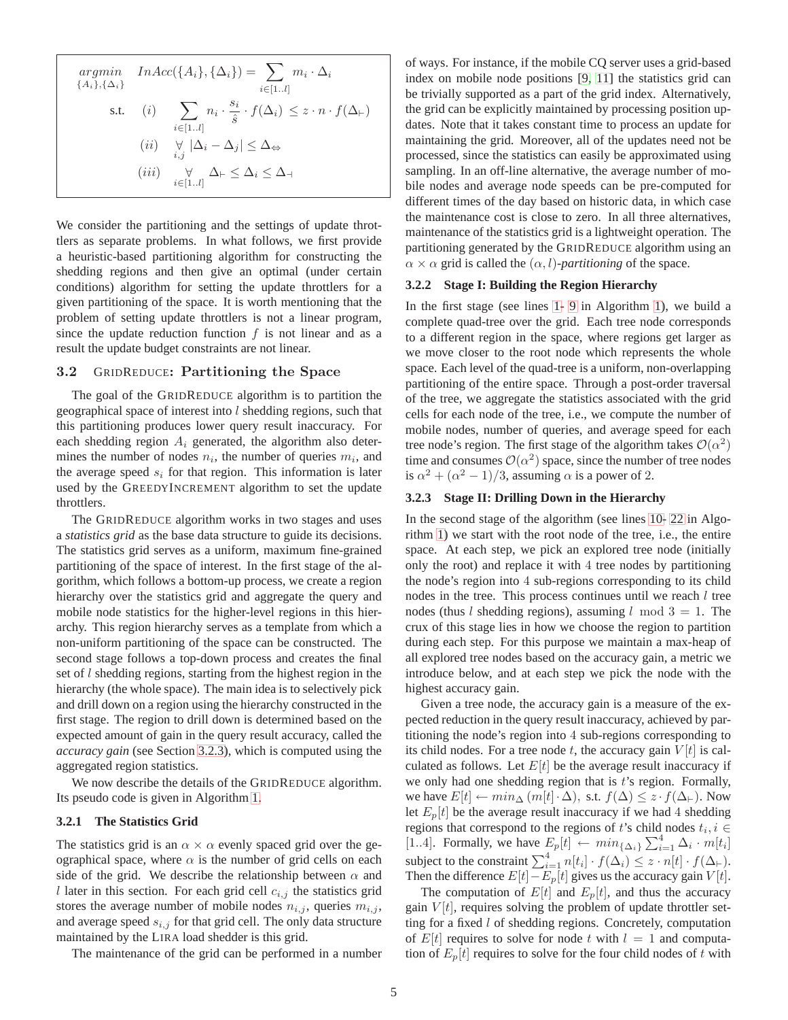$$
\underset{\{Ai_i\},\{\Delta_i\}}{\operatorname{argmin}} \quad InAcc(\{A_i\},\{\Delta_i\}) = \sum_{i \in [1..l]} m_i \cdot \Delta_i
$$
\n
$$
\text{s.t.} \quad (i) \quad \sum_{i \in [1..l]} n_i \cdot \frac{s_i}{\hat{s}} \cdot f(\Delta_i) \le z \cdot n \cdot f(\Delta_{\vdash})
$$
\n
$$
(ii) \quad \forall \, |\Delta_i - \Delta_j| \le \Delta_{\Leftrightarrow}
$$
\n
$$
(iii) \quad \forall \, |\Delta_{\vdash} \le \Delta_i \le \Delta_{\dashv}
$$

We consider the partitioning and the settings of update throttlers as separate problems. In what follows, we first provide a heuristic-based partitioning algorithm for constructing the shedding regions and then give an optimal (under certain conditions) algorithm for setting the update throttlers for a given partitioning of the space. It is worth mentioning that the problem of setting update throttlers is not a linear program, since the update reduction function  $f$  is not linear and as a result the update budget constraints are not linear.

### 3.2 GRIDREDUCE: Partitioning the Space

The goal of the GRIDREDUCE algorithm is to partition the geographical space of interest into  $l$  shedding regions, such that this partitioning produces lower query result inaccuracy. For each shedding region  $A_i$  generated, the algorithm also determines the number of nodes  $n_i$ , the number of queries  $m_i$ , and the average speed  $s_i$  for that region. This information is later used by the GREEDYINCREMENT algorithm to set the update throttlers.

The GRIDREDUCE algorithm works in two stages and uses a *statistics grid* as the base data structure to guide its decisions. The statistics grid serves as a uniform, maximum fine-grained partitioning of the space of interest. In the first stage of the algorithm, which follows a bottom-up process, we create a region hierarchy over the statistics grid and aggregate the query and mobile node statistics for the higher-level regions in this hierarchy. This region hierarchy serves as a template from which a non-uniform partitioning of the space can be constructed. The second stage follows a top-down process and creates the final set of l shedding regions, starting from the highest region in the hierarchy (the whole space). The main idea is to selectively pick and drill down on a region using the hierarchy constructed in the first stage. The region to drill down is determined based on the expected amount of gain in the query result accuracy, called the *accuracy gain* (see Section [3.2.3\)](#page-4-0), which is computed using the aggregated region statistics.

We now describe the details of the GRIDREDUCE algorithm. Its pseudo code is given in Algorithm 1.

# **3.2.1 The Statistics Grid**

The statistics grid is an  $\alpha \times \alpha$  evenly spaced grid over the geographical space, where  $\alpha$  is the number of grid cells on each side of the grid. We describe the relationship between  $\alpha$  and l later in this section. For each grid cell  $c_{i,j}$  the statistics grid stores the average number of mobile nodes  $n_{i,j}$ , queries  $m_{i,j}$ , and average speed  $s_{i,j}$  for that grid cell. The only data structure maintained by the LIRA load shedder is this grid.

The maintenance of the grid can be performed in a number

of ways. For instance, if the mobile CQ server uses a grid-based index on mobile node positions [\[9,](#page-11-9) [11\]](#page-11-1) the statistics grid can be trivially supported as a part of the grid index. Alternatively, the grid can be explicitly maintained by processing position updates. Note that it takes constant time to process an update for maintaining the grid. Moreover, all of the updates need not be processed, since the statistics can easily be approximated using sampling. In an off-line alternative, the average number of mobile nodes and average node speeds can be pre-computed for different times of the day based on historic data, in which case the maintenance cost is close to zero. In all three alternatives, maintenance of the statistics grid is a lightweight operation. The partitioning generated by the GRIDREDUCE algorithm using an  $\alpha \times \alpha$  grid is called the  $(\alpha, l)$ -*partitioning* of the space.

# **3.2.2 Stage I: Building the Region Hierarchy**

In the first stage (see lines [1-](#page-7-2) [9](#page-7-3) in Algorithm 1), we build a complete quad-tree over the grid. Each tree node corresponds to a different region in the space, where regions get larger as we move closer to the root node which represents the whole space. Each level of the quad-tree is a uniform, non-overlapping partitioning of the entire space. Through a post-order traversal of the tree, we aggregate the statistics associated with the grid cells for each node of the tree, i.e., we compute the number of mobile nodes, number of queries, and average speed for each tree node's region. The first stage of the algorithm takes  $\mathcal{O}(\alpha^2)$ time and consumes  $\mathcal{O}(\alpha^2)$  space, since the number of tree nodes is  $\alpha^2 + (\alpha^2 - 1)/3$ , assuming  $\alpha$  is a power of 2.

## <span id="page-4-0"></span>**3.2.3 Stage II: Drilling Down in the Hierarchy**

In the second stage of the algorithm (see lines [10-](#page-7-4) [22](#page-7-5) in Algorithm 1) we start with the root node of the tree, i.e., the entire space. At each step, we pick an explored tree node (initially only the root) and replace it with 4 tree nodes by partitioning the node's region into 4 sub-regions corresponding to its child nodes in the tree. This process continues until we reach  $l$  tree nodes (thus *l* shedding regions), assuming *l* mod  $3 = 1$ . The crux of this stage lies in how we choose the region to partition during each step. For this purpose we maintain a max-heap of all explored tree nodes based on the accuracy gain, a metric we introduce below, and at each step we pick the node with the highest accuracy gain.

Given a tree node, the accuracy gain is a measure of the expected reduction in the query result inaccuracy, achieved by partitioning the node's region into 4 sub-regions corresponding to its child nodes. For a tree node t, the accuracy gain  $V[t]$  is calculated as follows. Let  $E[t]$  be the average result inaccuracy if we only had one shedding region that is  $t$ 's region. Formally, we have  $E[t] \leftarrow min_{\Delta} (m[t] \cdot \Delta)$ , s.t.  $f(\Delta) \leq z \cdot f(\Delta_{\vdash})$ . Now let  $E_p[t]$  be the average result inaccuracy if we had 4 shedding regions that correspond to the regions of t's child nodes  $t_i, i \in$ [1..4]. Formally, we have  $E_p[t] \leftarrow min_{\{\Delta_i\}} \sum_{i=1}^4 \Delta_i \cdot m[t_i]$ subject to the constraint  $\sum_{i=1}^{4} n[t_i] \cdot f(\Delta_i) \leq z \cdot n[t] \cdot f(\Delta_{\vdash}).$ Then the difference  $E[t]-E_p[t]$  gives us the accuracy gain  $V[t]$ .

The computation of  $E[t]$  and  $E_p[t]$ , and thus the accuracy gain  $V[t]$ , requires solving the problem of update throttler setting for a fixed l of shedding regions. Concretely, computation of  $E[t]$  requires to solve for node t with  $l = 1$  and computation of  $E_p[t]$  requires to solve for the four child nodes of t with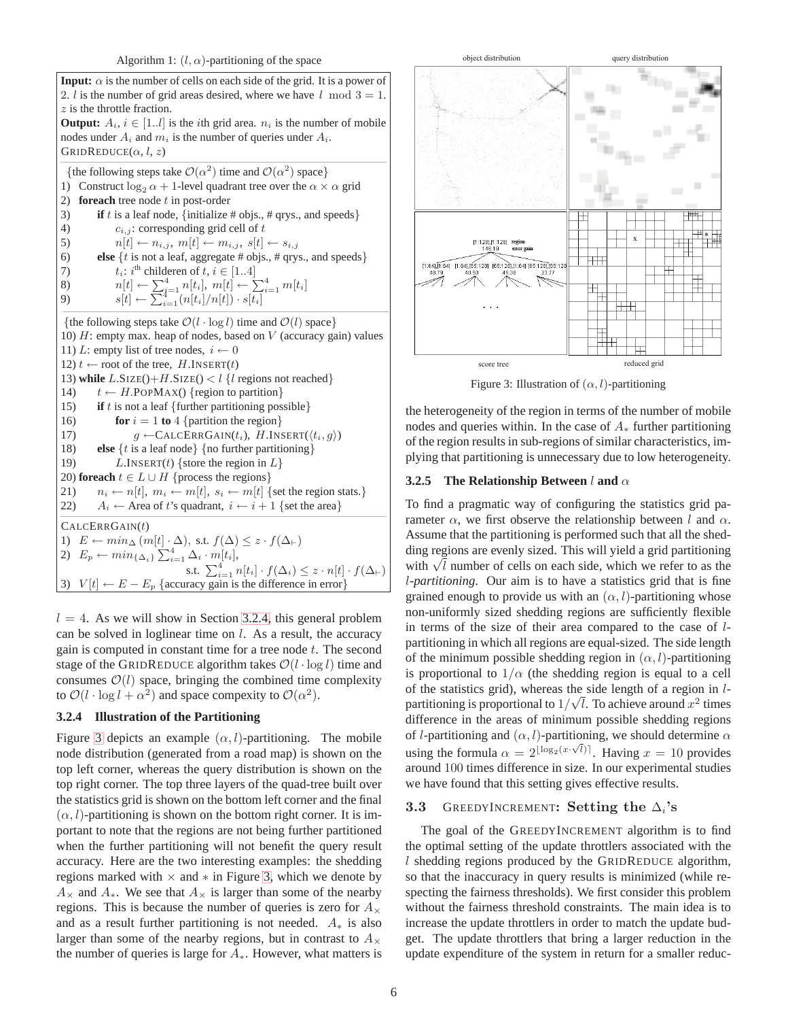

 $l = 4$ . As we will show in Section [3.2.4,](#page-5-0) this general problem can be solved in loglinear time on l. As a result, the accuracy gain is computed in constant time for a tree node  $t$ . The second stage of the GRIDREDUCE algorithm takes  $\mathcal{O}(l \cdot \log l)$  time and consumes  $\mathcal{O}(l)$  space, bringing the combined time complexity to  $\mathcal{O}(l \cdot \log l + \alpha^2)$  and space compexity to  $\mathcal{O}(\alpha^2)$ .

## <span id="page-5-0"></span>**3.2.4 Illustration of the Partitioning**

Figure [3](#page-5-1) depicts an example  $(\alpha, l)$ -partitioning. The mobile node distribution (generated from a road map) is shown on the top left corner, whereas the query distribution is shown on the top right corner. The top three layers of the quad-tree built over the statistics grid is shown on the bottom left corner and the final  $(\alpha, l)$ -partitioning is shown on the bottom right corner. It is important to note that the regions are not being further partitioned when the further partitioning will not benefit the query result accuracy. Here are the two interesting examples: the shedding regions marked with  $\times$  and  $*$  in Figure [3,](#page-5-1) which we denote by  $A_{\times}$  and  $A_{*}$ . We see that  $A_{\times}$  is larger than some of the nearby regions. This is because the number of queries is zero for  $A_{\times}$ and as a result further partitioning is not needed.  $A_*$  is also larger than some of the nearby regions, but in contrast to  $A_{\times}$ the number of queries is large for  $A_{*}$ . However, what matters is



Figure 3: Illustration of  $(\alpha, l)$ -partitioning

<span id="page-5-1"></span>the heterogeneity of the region in terms of the number of mobile nodes and queries within. In the case of  $A_*$  further partitioning of the region results in sub-regions of similar characteristics, implying that partitioning is unnecessary due to low heterogeneity.

## **3.2.5 The Relationship Between** l **and** α

To find a pragmatic way of configuring the statistics grid parameter  $\alpha$ , we first observe the relationship between l and  $\alpha$ . Assume that the partitioning is performed such that all the shedding regions are evenly sized. This will yield a grid partitioning with  $\sqrt{l}$  number of cells on each side, which we refer to as the l-*partitioning*. Our aim is to have a statistics grid that is fine grained enough to provide us with an  $(\alpha, l)$ -partitioning whose non-uniformly sized shedding regions are sufficiently flexible in terms of the size of their area compared to the case of lpartitioning in which all regions are equal-sized. The side length of the minimum possible shedding region in  $(\alpha, l)$ -partitioning is proportional to  $1/\alpha$  (the shedding region is equal to a cell of the statistics grid), whereas the side length of a region in lpartitioning is proportional to  $1/\sqrt{l}$ . To achieve around  $x^2$  times difference in the areas of minimum possible shedding regions of *l*-partitioning and  $(\alpha, l)$ -partitioning, we should determine  $\alpha$ using the formula  $\alpha = 2^{\lfloor \log_2(x \cdot \sqrt{l}) \rfloor}$ . Having  $x = 10$  provides around 100 times difference in size. In our experimental studies we have found that this setting gives effective results.

# **3.3** GREEDYINCREMENT: Setting the  $\Delta_i$ 's

The goal of the GREEDYINCREMENT algorithm is to find the optimal setting of the update throttlers associated with the l shedding regions produced by the GRIDREDUCE algorithm, so that the inaccuracy in query results is minimized (while respecting the fairness thresholds). We first consider this problem without the fairness threshold constraints. The main idea is to increase the update throttlers in order to match the update budget. The update throttlers that bring a larger reduction in the update expenditure of the system in return for a smaller reduc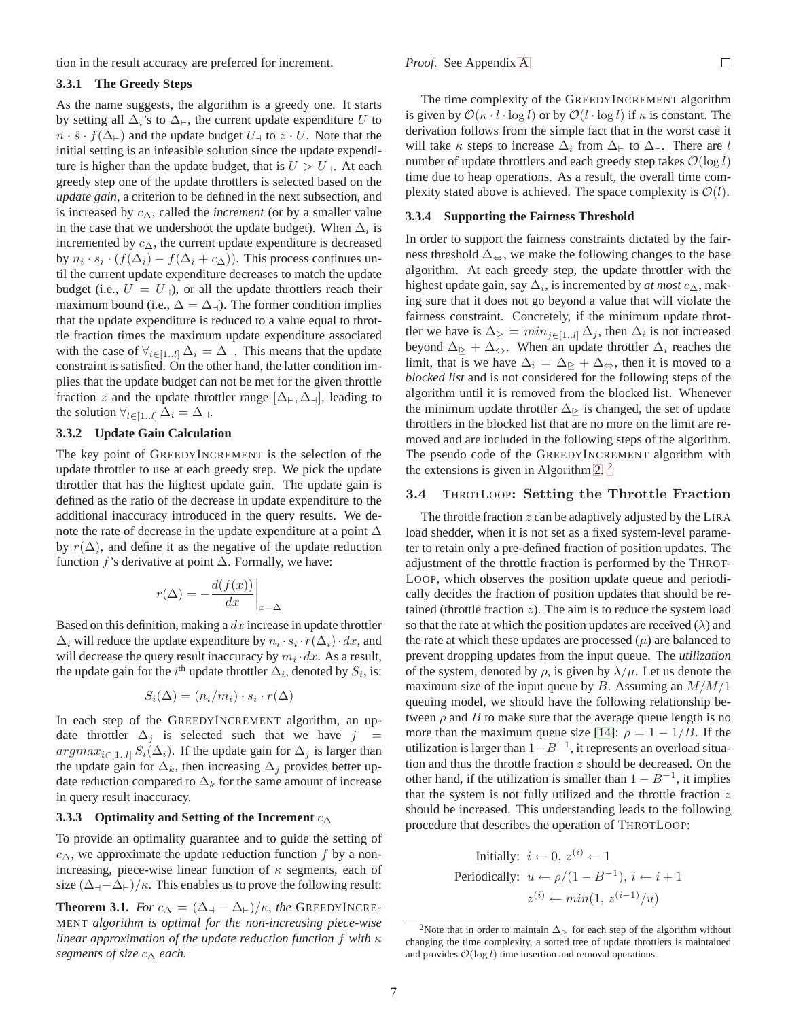tion in the result accuracy are preferred for increment.

## **3.3.1 The Greedy Steps**

As the name suggests, the algorithm is a greedy one. It starts by setting all  $\Delta_i$ 's to  $\Delta_{\vdash}$ , the current update expenditure U to  $n \cdot \hat{s} \cdot f(\Delta_{\vdash})$  and the update budget  $U_{\dashv}$  to  $z \cdot U$ . Note that the initial setting is an infeasible solution since the update expenditure is higher than the update budget, that is  $U > U_{\rm d}$ . At each greedy step one of the update throttlers is selected based on the *update gain*, a criterion to be defined in the next subsection, and is increased by c∆, called the *increment* (or by a smaller value in the case that we undershoot the update budget). When  $\Delta_i$  is incremented by  $c_{\Delta}$ , the current update expenditure is decreased by  $n_i \cdot s_i \cdot (f(\Delta_i) - f(\Delta_i + c_{\Delta}))$ . This process continues until the current update expenditure decreases to match the update budget (i.e.,  $U = U_{-1}$ ), or all the update throttlers reach their maximum bound (i.e.,  $\Delta = \Delta_{\uparrow}$ ). The former condition implies that the update expenditure is reduced to a value equal to throttle fraction times the maximum update expenditure associated with the case of  $\forall_{i\in[1..l]}\Delta_i = \Delta_{\vdash}$ . This means that the update constraint is satisfied. On the other hand, the latter condition implies that the update budget can not be met for the given throttle fraction z and the update throttler range  $[\Delta_{\vdash}, \Delta_{\dashv}]$ , leading to the solution  $\forall_{l\in[1..l]}\Delta_i = \Delta_{\dashv}.$ 

## **3.3.2 Update Gain Calculation**

The key point of GREEDYINCREMENT is the selection of the update throttler to use at each greedy step. We pick the update throttler that has the highest update gain. The update gain is defined as the ratio of the decrease in update expenditure to the additional inaccuracy introduced in the query results. We denote the rate of decrease in the update expenditure at a point ∆ by  $r(\Delta)$ , and define it as the negative of the update reduction function f's derivative at point  $\Delta$ . Formally, we have:

$$
r(\Delta) = -\frac{d(f(x))}{dx}\bigg|_{x=\Delta}
$$

Based on this definition, making a  $dx$  increase in update throttler  $\Delta_i$  will reduce the update expenditure by  $n_i \cdot s_i \cdot r(\Delta_i) \cdot dx$ , and will decrease the query result inaccuracy by  $m_i \, dx$ . As a result, the update gain for the i<sup>th</sup> update throttler  $\Delta_i$ , denoted by  $S_i$ , is:

$$
S_i(\Delta) = (n_i/m_i) \cdot s_i \cdot r(\Delta)
$$

In each step of the GREEDYINCREMENT algorithm, an update throttler  $\Delta_j$  is selected such that we have  $j =$ argma $x_{i\in[1..l]} S_i(\Delta_i)$ . If the update gain for  $\Delta_i$  is larger than the update gain for  $\Delta_k$ , then increasing  $\Delta_j$  provides better update reduction compared to  $\Delta_k$  for the same amount of increase in query result inaccuracy.

### **3.3.3 Optimality and Setting of the Increment** c<sup>∆</sup>

To provide an optimality guarantee and to guide the setting of  $c_{\Delta}$ , we approximate the update reduction function f by a nonincreasing, piece-wise linear function of  $\kappa$  segments, each of size  $(\Delta_{\mathcal{A}}-\Delta_{\mathcal{F}})/\kappa$ . This enables us to prove the following result:

<span id="page-6-2"></span>**Theorem 3.1.** *For*  $c_{\Delta} = (\Delta_{\dashv} - \Delta_{\vdash})/\kappa$ *, the* GREEDYINCRE-MENT *algorithm is optimal for the non-increasing piece-wise linear approximation of the update reduction function* f *with* κ *segments of size* c<sup>∆</sup> *each.*

The time complexity of the GREEDYINCREMENT algorithm is given by  $\mathcal{O}(\kappa \cdot l \cdot \log l)$  or by  $\mathcal{O}(l \cdot \log l)$  if  $\kappa$  is constant. The derivation follows from the simple fact that in the worst case it will take  $\kappa$  steps to increase  $\Delta_i$  from  $\Delta_{\vdash}$  to  $\Delta_{\dashv}$ . There are l number of update throttlers and each greedy step takes  $\mathcal{O}(\log l)$ time due to heap operations. As a result, the overall time complexity stated above is achieved. The space complexity is  $\mathcal{O}(l)$ .

#### **3.3.4 Supporting the Fairness Threshold**

In order to support the fairness constraints dictated by the fairness threshold  $\Delta_{\Leftrightarrow}$ , we make the following changes to the base algorithm. At each greedy step, the update throttler with the highest update gain, say  $\Delta_i$ , is incremented by *at most*  $c_{\Delta}$ , making sure that it does not go beyond a value that will violate the fairness constraint. Concretely, if the minimum update throttler we have is  $\Delta_{\geq} = \min_{j \in [1..l]} \Delta_j$ , then  $\Delta_i$  is not increased beyond  $\Delta_{\geq} + \Delta_{\Leftrightarrow}$ . When an update throttler  $\Delta_i$  reaches the limit, that is we have  $\Delta_i = \Delta_{\triangleright} + \Delta_{\Leftrightarrow}$ , then it is moved to a *blocked list* and is not considered for the following steps of the algorithm until it is removed from the blocked list. Whenever the minimum update throttler  $\Delta_{\triangleright}$  is changed, the set of update throttlers in the blocked list that are no more on the limit are removed and are included in the following steps of the algorithm. The pseudo code of the GREEDYINCREMENT algorithm with the extensions is given in Algorithm 2. [2](#page-6-1)

## <span id="page-6-0"></span>3.4 THROTLOOP: Setting the Throttle Fraction

The throttle fraction  $z$  can be adaptively adjusted by the LIRA load shedder, when it is not set as a fixed system-level parameter to retain only a pre-defined fraction of position updates. The adjustment of the throttle fraction is performed by the THROT-LOOP, which observes the position update queue and periodically decides the fraction of position updates that should be retained (throttle fraction  $z$ ). The aim is to reduce the system load so that the rate at which the position updates are received  $(\lambda)$  and the rate at which these updates are processed  $(\mu)$  are balanced to prevent dropping updates from the input queue. The *utilization* of the system, denoted by  $\rho$ , is given by  $\lambda/\mu$ . Let us denote the maximum size of the input queue by  $B$ . Assuming an  $M/M/1$ queuing model, we should have the following relationship between  $\rho$  and  $B$  to make sure that the average queue length is no more than the maximum queue size [\[14\]](#page-12-7):  $\rho = 1 - 1/B$ . If the utilization is larger than  $1 - B^{-1}$ , it represents an overload situation and thus the throttle fraction  $z$  should be decreased. On the other hand, if the utilization is smaller than  $1 - B^{-1}$ , it implies that the system is not fully utilized and the throttle fraction  $z$ should be increased. This understanding leads to the following procedure that describes the operation of THROTLOOP:

Initially: 
$$
i \leftarrow 0
$$
,  $z^{(i)} \leftarrow 1$   
Periodically:  $u \leftarrow \rho/(1 - B^{-1})$ ,  $i \leftarrow i + 1$   
 $z^{(i)} \leftarrow min(1, z^{(i-1)}/u)$ 

<span id="page-6-1"></span><sup>&</sup>lt;sup>2</sup>Note that in order to maintain  $\Delta_{\triangleright}$  for each step of the algorithm without changing the time complexity, a sorted tree of update throttlers is maintained and provides  $\mathcal{O}(\log l)$  time insertion and removal operations.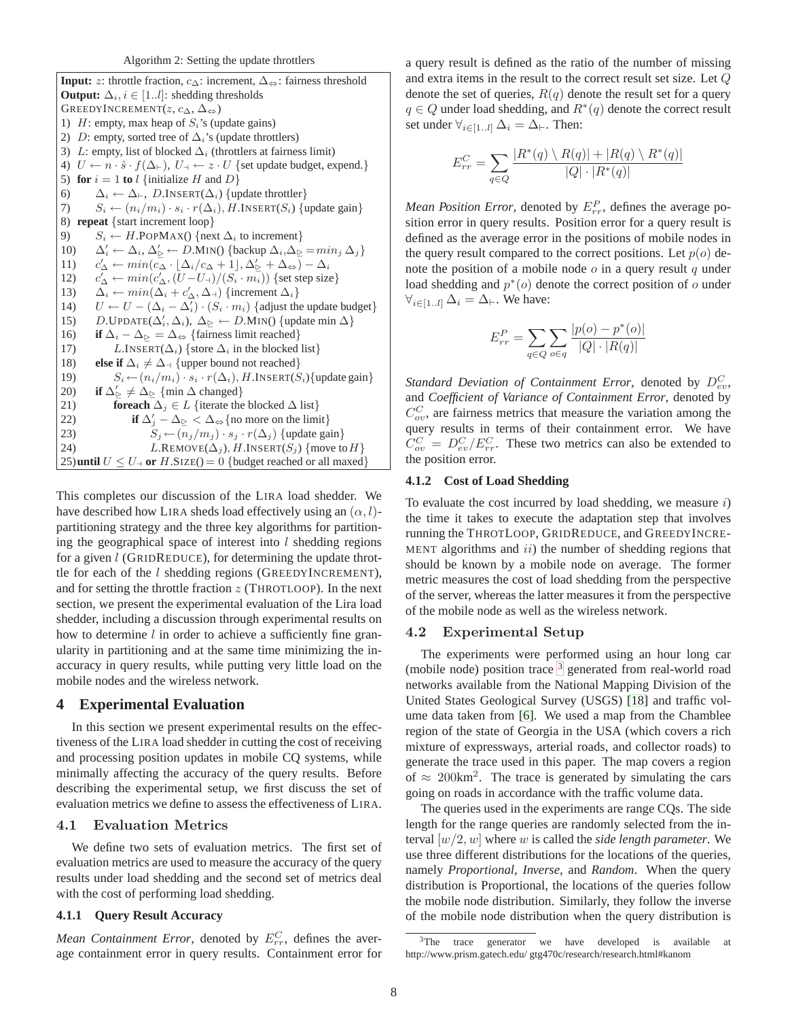<span id="page-7-4"></span><span id="page-7-3"></span><span id="page-7-2"></span>**Input:** z: throttle fraction,  $c_{\Delta}$ : increment,  $\Delta_{\Leftrightarrow}$ : fairness threshold **Output:**  $\Delta_i$ ,  $i \in [1..l]$ : shedding thresholds GREEDYINCREMENT $(z, c_{\Delta}, \Delta_{\Leftrightarrow})$ 1)  $H:$  empty, max heap of  $S_i$ 's (update gains) 2) D: empty, sorted tree of  $\Delta_i$ 's (update throttlers) 3) L: empty, list of blocked  $\Delta_i$  (throttlers at fairness limit) 4)  $U \leftarrow n \cdot \hat{s} \cdot f(\Delta_{\vdash}), U_{\dashv} \leftarrow z \cdot U$  {set update budget, expend.} 5) **for**  $i = 1$  **to** l {initialize H and D} 6)  $\Delta_i \leftarrow \Delta_{\vdash}$ , D.INSERT( $\Delta_i$ ) {update throttler} 7)  $S_i \leftarrow (n_i/m_i) \cdot s_i \cdot r(\Delta_i), H.\text{INSERT}(S_i) \text{ {update gain}}$ 8) **repeat** {start increment loop} 9)  $S_i \leftarrow H.\text{POPMAX}() \{\text{next } \Delta_i \text{ to increment}\}\$ 10)  $\Delta'_i \leftarrow \Delta_i, \Delta'_{\geq} \leftarrow D.MIN()$  {backup  $\Delta_i, \Delta_{\geq} = min_j \Delta_j$ } 11) c  $\Delta'_{\Delta} \leftarrow min(\bar{c}_{\Delta} \cdot \lfloor \Delta_i/c_{\Delta} + 1 \rfloor, \Delta'_{\geq} + \Delta_{\Leftrightarrow}) - \Delta_i$  $12)$  $\mathcal{C}_\Delta \leftarrow min(c_\Delta', (U-U_\dashv)/(S_i \cdot m_i)) \text{ } \{\text{set step size}\}$ 13)  $\Delta_i \leftarrow min(\Delta_i + c'_\Delta, \Delta_\dashv)$  {increment  $\Delta_i$ } 14)  $U \leftarrow U - (\Delta_i - \Delta'_i) \cdot (S_i \cdot m_i)$  {adjust the update budget} 15) D.UPDATE( $\Delta'_i, \Delta_i$ ),  $\Delta_{\ge} \leftarrow D.MIN()$  {update min  $\Delta$ } 16) **if**  $\Delta_i - \Delta_{\triangleright} = \Delta_{\Leftrightarrow}$  {fairness limit reached} 17) L.INSERT( $\Delta_i$ ) {store  $\Delta_i$  in the blocked list} 18) **else if**  $\Delta_i \neq \Delta$  {upper bound not reached} 19)  $S_i \leftarrow (n_i/m_i) \cdot s_i \cdot r(\Delta_i), H.\text{INSERT}(S_i) \{ \text{update gain} \}$ 20) **if**  $\Delta'_{\geq} \neq \Delta_{\geq} \{\text{min } \Delta \text{ changed}\}\$ 21) **foreach**  $\Delta_j \in L$  {iterate the blocked  $\Delta$  list} 22) **if**  $\Delta'_j - \Delta_{\ge} < \Delta_{\Leftrightarrow}$  {no more on the limit} 23)  $S_j \leftarrow (n_j/m_j) \cdot s_j \cdot r(\Delta_j)$  {update gain} 24) L.REMOVE $(\Delta_i)$ , H.INSERT $(S_i)$  {move to H} 25)**until**  $U \leq U_{\text{+}}$  or  $H.\text{SIZE}() = 0$  {budget reached or all maxed}

<span id="page-7-5"></span>This completes our discussion of the LIRA load shedder. We have described how LIRA sheds load effectively using an  $(\alpha, l)$ partitioning strategy and the three key algorithms for partitioning the geographical space of interest into  $l$  shedding regions for a given l (GRIDREDUCE), for determining the update throttle for each of the  $l$  shedding regions (GREEDYINCREMENT), and for setting the throttle fraction  $z$  (THROTLOOP). In the next section, we present the experimental evaluation of the Lira load shedder, including a discussion through experimental results on how to determine  $l$  in order to achieve a sufficiently fine granularity in partitioning and at the same time minimizing the inaccuracy in query results, while putting very little load on the mobile nodes and the wireless network.

# <span id="page-7-1"></span>**4 Experimental Evaluation**

In this section we present experimental results on the effectiveness of the LIRA load shedder in cutting the cost of receiving and processing position updates in mobile CQ systems, while minimally affecting the accuracy of the query results. Before describing the experimental setup, we first discuss the set of evaluation metrics we define to assess the effectiveness of LIRA.

# 4.1 Evaluation Metrics

We define two sets of evaluation metrics. The first set of evaluation metrics are used to measure the accuracy of the query results under load shedding and the second set of metrics deal with the cost of performing load shedding.

# **4.1.1 Query Result Accuracy**

*Mean Containment Error*, denoted by  $E_{rr}^C$ , defines the average containment error in query results. Containment error for a query result is defined as the ratio of the number of missing and extra items in the result to the correct result set size. Let Q denote the set of queries,  $R(q)$  denote the result set for a query  $q \in Q$  under load shedding, and  $R^*(q)$  denote the correct result set under  $\forall_{i\in[1..l]}\Delta_i = \Delta_{\vdash}$ . Then:

$$
E_{rr}^{C} = \sum_{q \in Q} \frac{|R^*(q) \setminus R(q)| + |R(q) \setminus R^*(q)|}{|Q| \cdot |R^*(q)|}
$$

*Mean Position Error*, denoted by  $E_{rr}^P$ , defines the average position error in query results. Position error for a query result is defined as the average error in the positions of mobile nodes in the query result compared to the correct positions. Let  $p(o)$  denote the position of a mobile node  $o$  in a query result  $q$  under load shedding and  $p^*(o)$  denote the correct position of o under  $\forall_{i\in[1..l]}\,\Delta_i = \Delta_{\vdash}$ . We have:

$$
E_{rr}^{P} = \sum_{q \in Q} \sum_{o \in q} \frac{|p(o) - p^{*}(o)|}{|Q| \cdot |R(q)|}
$$

*Standard Deviation of Containment Error*, denoted by  $D_{ev}^C$ , and *Coefficient of Variance of Containment Error*, denoted by  $C_{ov}^{C}$ , are fairness metrics that measure the variation among the query results in terms of their containment error. We have  $C_{ov}^C = D_{ev}^C / E_{rr}^C$ . These two metrics can also be extended to the position error.

## **4.1.2 Cost of Load Shedding**

To evaluate the cost incurred by load shedding, we measure  $i$ ) the time it takes to execute the adaptation step that involves running the THROTLOOP, GRIDREDUCE, and GREEDYINCRE-MENT algorithms and  $ii)$  the number of shedding regions that should be known by a mobile node on average. The former metric measures the cost of load shedding from the perspective of the server, whereas the latter measures it from the perspective of the mobile node as well as the wireless network.

## <span id="page-7-0"></span>4.2 Experimental Setup

The experiments were performed using an hour long car (mobile node) position trace <sup>[3](#page-7-6)</sup> generated from real-world road networks available from the National Mapping Division of the United States Geological Survey (USGS) [\[18\]](#page-12-8) and traffic volume data taken from [\[6\]](#page-11-10). We used a map from the Chamblee region of the state of Georgia in the USA (which covers a rich mixture of expressways, arterial roads, and collector roads) to generate the trace used in this paper. The map covers a region of  $\approx$  200km<sup>2</sup>. The trace is generated by simulating the cars going on roads in accordance with the traffic volume data.

The queries used in the experiments are range CQs. The side length for the range queries are randomly selected from the interval [w/2, w] where w is called the *side length parameter*. We use three different distributions for the locations of the queries, namely *Proportional*, *Inverse*, and *Random*. When the query distribution is Proportional, the locations of the queries follow the mobile node distribution. Similarly, they follow the inverse of the mobile node distribution when the query distribution is

<span id="page-7-6"></span><sup>&</sup>lt;sup>3</sup>The trace generator we have developed is available at http://www.prism.gatech.edu/ gtg470c/research/research.html#kanom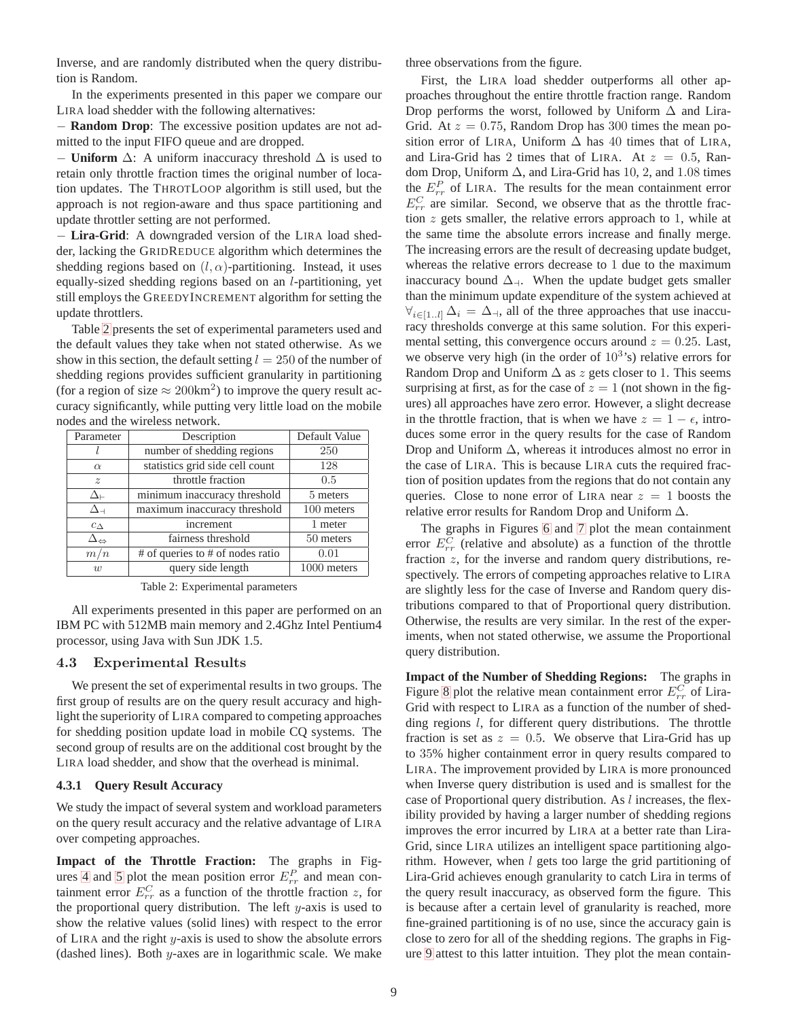Inverse, and are randomly distributed when the query distribution is Random.

In the experiments presented in this paper we compare our LIRA load shedder with the following alternatives:

− **Random Drop**: The excessive position updates are not admitted to the input FIFO queue and are dropped.

 $\overline{\phantom{a}}$  **Uniform**  $\Delta$ : A uniform inaccuracy threshold  $\Delta$  is used to retain only throttle fraction times the original number of location updates. The THROTLOOP algorithm is still used, but the approach is not region-aware and thus space partitioning and update throttler setting are not performed.

− **Lira-Grid**: A downgraded version of the LIRA load shedder, lacking the GRIDREDUCE algorithm which determines the shedding regions based on  $(l, \alpha)$ -partitioning. Instead, it uses equally-sized shedding regions based on an l-partitioning, yet still employs the GREEDYINCREMENT algorithm for setting the update throttlers.

Table [2](#page-8-0) presents the set of experimental parameters used and the default values they take when not stated otherwise. As we show in this section, the default setting  $l = 250$  of the number of shedding regions provides sufficient granularity in partitioning (for a region of size  $\approx 200 \text{km}^2$ ) to improve the query result accuracy significantly, while putting very little load on the mobile nodes and the wireless network.

| Parameter                  | Description                                                       | Default Value |  |
|----------------------------|-------------------------------------------------------------------|---------------|--|
|                            | number of shedding regions                                        | 250           |  |
| $\alpha$                   | statistics grid side cell count                                   | 128           |  |
| $\boldsymbol{z}$           | throttle fraction                                                 | 0.5           |  |
| ∆⊢                         | minimum inaccuracy threshold                                      | 5 meters      |  |
| $\Delta$ -1                | maximum inaccuracy threshold                                      | 100 meters    |  |
| $c_{\Delta}$               | increment                                                         | 1 meter       |  |
| $\Delta_{\Leftrightarrow}$ | fairness threshold                                                | 50 meters     |  |
| m/n                        | $\overline{\# \text{ of}}$ queries to $\# \text{ of nodes ratio}$ | 0.01          |  |
| w                          | query side length                                                 | 1000 meters   |  |

Table 2: Experimental parameters

<span id="page-8-0"></span>All experiments presented in this paper are performed on an IBM PC with 512MB main memory and 2.4Ghz Intel Pentium4 processor, using Java with Sun JDK 1.5.

# 4.3 Experimental Results

We present the set of experimental results in two groups. The first group of results are on the query result accuracy and highlight the superiority of LIRA compared to competing approaches for shedding position update load in mobile CQ systems. The second group of results are on the additional cost brought by the LIRA load shedder, and show that the overhead is minimal.

# **4.3.1 Query Result Accuracy**

We study the impact of several system and workload parameters on the query result accuracy and the relative advantage of LIRA over competing approaches.

**Impact of the Throttle Fraction:** The graphs in Fig-ures [4](#page-9-0) and [5](#page-9-1) plot the mean position error  $E_{rr}^P$  and mean containment error  $E_{rr}^C$  as a function of the throttle fraction z, for the proportional query distribution. The left  $y$ -axis is used to show the relative values (solid lines) with respect to the error of LIRA and the right y-axis is used to show the absolute errors (dashed lines). Both  $y$ -axes are in logarithmic scale. We make three observations from the figure.

First, the LIRA load shedder outperforms all other approaches throughout the entire throttle fraction range. Random Drop performs the worst, followed by Uniform  $\Delta$  and Lira-Grid. At  $z = 0.75$ , Random Drop has 300 times the mean position error of LIRA, Uniform  $\Delta$  has 40 times that of LIRA, and Lira-Grid has 2 times that of LIRA. At  $z = 0.5$ , Random Drop, Uniform  $\Delta$ , and Lira-Grid has 10, 2, and 1.08 times the  $E_{rr}^P$  of LIRA. The results for the mean containment error  $E_{rr}^C$  are similar. Second, we observe that as the throttle fraction z gets smaller, the relative errors approach to 1, while at the same time the absolute errors increase and finally merge. The increasing errors are the result of decreasing update budget, whereas the relative errors decrease to 1 due to the maximum inaccuracy bound  $\Delta_{\uparrow}$ . When the update budget gets smaller than the minimum update expenditure of the system achieved at  $\forall_{i\in[1..l]}\Delta_i = \Delta_{\dashv}$ , all of the three approaches that use inaccuracy thresholds converge at this same solution. For this experimental setting, this convergence occurs around  $z = 0.25$ . Last, we observe very high (in the order of  $10^{3}$ 's) relative errors for Random Drop and Uniform  $\Delta$  as z gets closer to 1. This seems surprising at first, as for the case of  $z = 1$  (not shown in the figures) all approaches have zero error. However, a slight decrease in the throttle fraction, that is when we have  $z = 1 - \epsilon$ , introduces some error in the query results for the case of Random Drop and Uniform  $\Delta$ , whereas it introduces almost no error in the case of LIRA. This is because LIRA cuts the required fraction of position updates from the regions that do not contain any queries. Close to none error of LIRA near  $z = 1$  boosts the relative error results for Random Drop and Uniform  $\Delta$ .

The graphs in Figures [6](#page-9-2) and [7](#page-9-3) plot the mean containment error  $E_{rr}^C$  (relative and absolute) as a function of the throttle fraction z, for the inverse and random query distributions, respectively. The errors of competing approaches relative to LIRA are slightly less for the case of Inverse and Random query distributions compared to that of Proportional query distribution. Otherwise, the results are very similar. In the rest of the experiments, when not stated otherwise, we assume the Proportional query distribution.

**Impact of the Number of Shedding Regions:** The graphs in Figure [8](#page-9-4) plot the relative mean containment error  $E_{rr}^C$  of Lira-Grid with respect to LIRA as a function of the number of shedding regions *l*, for different query distributions. The throttle fraction is set as  $z = 0.5$ . We observe that Lira-Grid has up to 35% higher containment error in query results compared to LIRA. The improvement provided by LIRA is more pronounced when Inverse query distribution is used and is smallest for the case of Proportional query distribution. As  $l$  increases, the flexibility provided by having a larger number of shedding regions improves the error incurred by LIRA at a better rate than Lira-Grid, since LIRA utilizes an intelligent space partitioning algorithm. However, when  $l$  gets too large the grid partitioning of Lira-Grid achieves enough granularity to catch Lira in terms of the query result inaccuracy, as observed form the figure. This is because after a certain level of granularity is reached, more fine-grained partitioning is of no use, since the accuracy gain is close to zero for all of the shedding regions. The graphs in Figure [9](#page-9-5) attest to this latter intuition. They plot the mean contain-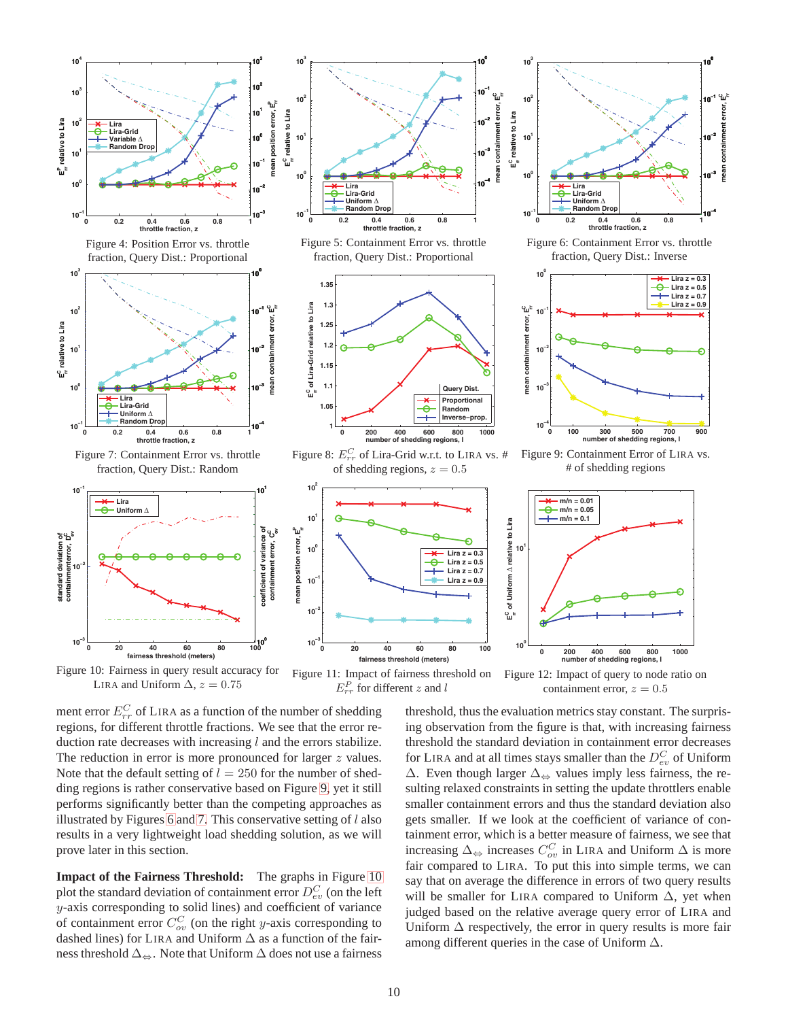<span id="page-9-1"></span><span id="page-9-0"></span>

<span id="page-9-6"></span><span id="page-9-3"></span>ment error  $E_{rr}^C$  of LIRA as a function of the number of shedding regions, for different throttle fractions. We see that the error reduction rate decreases with increasing  $l$  and the errors stabilize. The reduction in error is more pronounced for larger  $z$  values. Note that the default setting of  $l = 250$  for the number of shedding regions is rather conservative based on Figure [9,](#page-9-5) yet it still performs significantly better than the competing approaches as illustrated by Figures [6](#page-9-2) and [7.](#page-9-3) This conservative setting of  $l$  also results in a very lightweight load shedding solution, as we will prove later in this section.

**Impact of the Fairness Threshold:** The graphs in Figure [10](#page-9-6) plot the standard deviation of containment error  $D_{ev}^C$  (on the left y-axis corresponding to solid lines) and coefficient of variance of containment error  $C_{ov}^{C}$  (on the right y-axis corresponding to dashed lines) for LIRA and Uniform  $\Delta$  as a function of the fairness threshold  $\Delta_{\Leftrightarrow}$ . Note that Uniform  $\Delta$  does not use a fairness

<span id="page-9-8"></span><span id="page-9-7"></span><span id="page-9-5"></span><span id="page-9-4"></span>threshold, thus the evaluation metrics stay constant. The surprising observation from the figure is that, with increasing fairness threshold the standard deviation in containment error decreases for LIRA and at all times stays smaller than the  $D_{ev}^C$  of Uniform  $\Delta$ . Even though larger  $\Delta_{\Leftrightarrow}$  values imply less fairness, the resulting relaxed constraints in setting the update throttlers enable smaller containment errors and thus the standard deviation also gets smaller. If we look at the coefficient of variance of containment error, which is a better measure of fairness, we see that increasing  $\Delta_{\Leftrightarrow}$  increases  $C_{ov}^C$  in LIRA and Uniform  $\Delta$  is more fair compared to LIRA. To put this into simple terms, we can say that on average the difference in errors of two query results will be smaller for LIRA compared to Uniform ∆, yet when judged based on the relative average query error of LIRA and Uniform  $\Delta$  respectively, the error in query results is more fair among different queries in the case of Uniform ∆.

<span id="page-9-2"></span>**rr**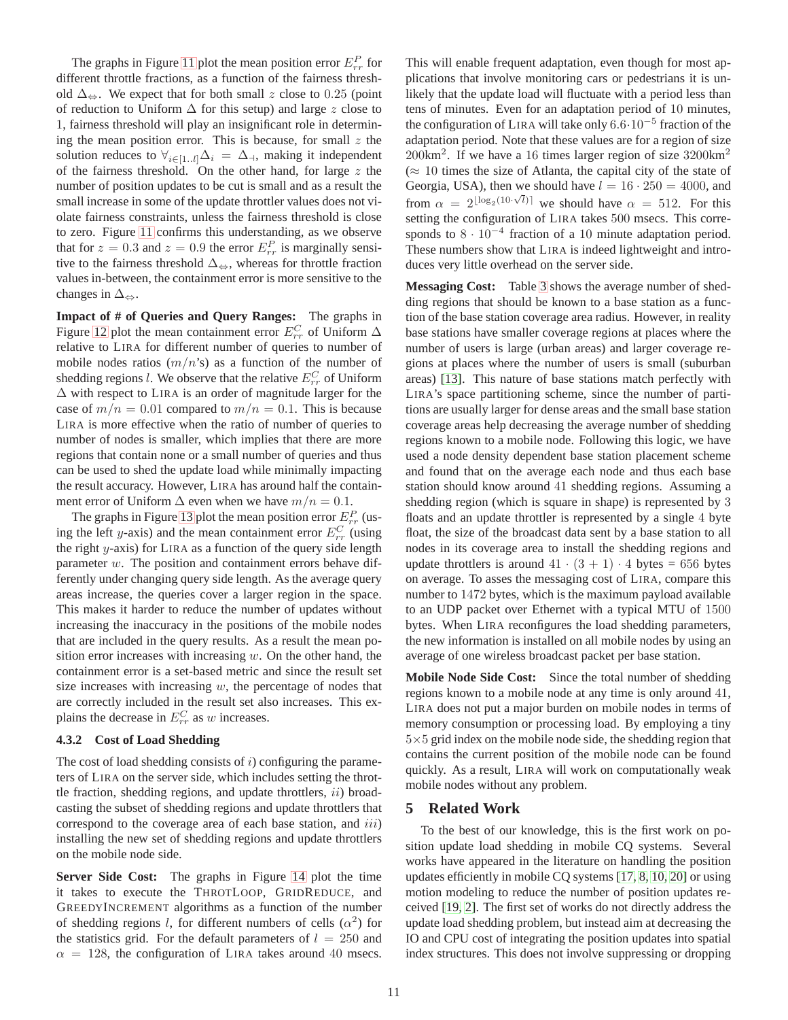The graphs in Figure [11](#page-9-7) plot the mean position error  $E_{rr}^P$  for different throttle fractions, as a function of the fairness threshold  $\Delta_{\ominus}$ . We expect that for both small z close to 0.25 (point of reduction to Uniform  $\Delta$  for this setup) and large z close to 1, fairness threshold will play an insignificant role in determining the mean position error. This is because, for small  $z$  the solution reduces to  $\forall_{i\in[1..l]}\Delta_i = \Delta_{\dashv}$ , making it independent of the fairness threshold. On the other hand, for large  $z$  the number of position updates to be cut is small and as a result the small increase in some of the update throttler values does not violate fairness constraints, unless the fairness threshold is close to zero. Figure [11](#page-9-7) confirms this understanding, as we observe that for  $z = 0.3$  and  $z = 0.9$  the error  $E_{rr}^P$  is marginally sensitive to the fairness threshold  $\Delta_{\leftrightarrow}$ , whereas for throttle fraction values in-between, the containment error is more sensitive to the changes in  $\Delta_{\Leftrightarrow}$ .

**Impact of # of Queries and Query Ranges:** The graphs in Figure [12](#page-9-8) plot the mean containment error  $E_{rr}^C$  of Uniform  $\Delta$ relative to LIRA for different number of queries to number of mobile nodes ratios  $(m/n)$  as a function of the number of shedding regions *l*. We observe that the relative  $E_{rr}^C$  of Uniform ∆ with respect to LIRA is an order of magnitude larger for the case of  $m/n = 0.01$  compared to  $m/n = 0.1$ . This is because LIRA is more effective when the ratio of number of queries to number of nodes is smaller, which implies that there are more regions that contain none or a small number of queries and thus can be used to shed the update load while minimally impacting the result accuracy. However, LIRA has around half the containment error of Uniform  $\Delta$  even when we have  $m/n = 0.1$ .

The graphs in Figure [13](#page-11-11) plot the mean position error  $E_{rr}^P$  (using the left y-axis) and the mean containment error  $E_{rr}^C$  (using the right  $y$ -axis) for LIRA as a function of the query side length parameter  $w$ . The position and containment errors behave differently under changing query side length. As the average query areas increase, the queries cover a larger region in the space. This makes it harder to reduce the number of updates without increasing the inaccuracy in the positions of the mobile nodes that are included in the query results. As a result the mean position error increases with increasing  $w$ . On the other hand, the containment error is a set-based metric and since the result set size increases with increasing  $w$ , the percentage of nodes that are correctly included in the result set also increases. This explains the decrease in  $E_{rr}^C$  as w increases.

### **4.3.2 Cost of Load Shedding**

The cost of load shedding consists of  $i$ ) configuring the parameters of LIRA on the server side, which includes setting the throttle fraction, shedding regions, and update throttlers,  $ii)$  broadcasting the subset of shedding regions and update throttlers that correspond to the coverage area of each base station, and iii) installing the new set of shedding regions and update throttlers on the mobile node side.

**Server Side Cost:** The graphs in Figure [14](#page-11-12) plot the time it takes to execute the THROTLOOP, GRIDREDUCE, and GREEDYINCREMENT algorithms as a function of the number of shedding regions l, for different numbers of cells  $(\alpha^2)$  for the statistics grid. For the default parameters of  $l = 250$  and  $\alpha = 128$ , the configuration of LIRA takes around 40 msecs. This will enable frequent adaptation, even though for most applications that involve monitoring cars or pedestrians it is unlikely that the update load will fluctuate with a period less than tens of minutes. Even for an adaptation period of 10 minutes, the configuration of LIRA will take only  $6.6 \cdot 10^{-5}$  fraction of the adaptation period. Note that these values are for a region of size 200km<sup>2</sup>. If we have a 16 times larger region of size 3200km<sup>2</sup>  $(\approx 10$  times the size of Atlanta, the capital city of the state of Georgia, USA), then we should have  $l = 16 \cdot 250 = 4000$ , and from  $\alpha = 2^{\lfloor \log_2(10 \cdot \sqrt{l}) \rfloor}$  we should have  $\alpha = 512$ . For this setting the configuration of LIRA takes 500 msecs. This corresponds to  $8 \cdot 10^{-4}$  fraction of a 10 minute adaptation period. These numbers show that LIRA is indeed lightweight and introduces very little overhead on the server side.

**Messaging Cost:** Table [3](#page-11-13) shows the average number of shedding regions that should be known to a base station as a function of the base station coverage area radius. However, in reality base stations have smaller coverage regions at places where the number of users is large (urban areas) and larger coverage regions at places where the number of users is small (suburban areas) [\[13\]](#page-12-9). This nature of base stations match perfectly with LIRA's space partitioning scheme, since the number of partitions are usually larger for dense areas and the small base station coverage areas help decreasing the average number of shedding regions known to a mobile node. Following this logic, we have used a node density dependent base station placement scheme and found that on the average each node and thus each base station should know around 41 shedding regions. Assuming a shedding region (which is square in shape) is represented by 3 floats and an update throttler is represented by a single 4 byte float, the size of the broadcast data sent by a base station to all nodes in its coverage area to install the shedding regions and update throttlers is around  $41 \cdot (3 + 1) \cdot 4$  bytes = 656 bytes on average. To asses the messaging cost of LIRA, compare this number to 1472 bytes, which is the maximum payload available to an UDP packet over Ethernet with a typical MTU of 1500 bytes. When LIRA reconfigures the load shedding parameters, the new information is installed on all mobile nodes by using an average of one wireless broadcast packet per base station.

**Mobile Node Side Cost:** Since the total number of shedding regions known to a mobile node at any time is only around 41, LIRA does not put a major burden on mobile nodes in terms of memory consumption or processing load. By employing a tiny  $5\times5$  grid index on the mobile node side, the shedding region that contains the current position of the mobile node can be found quickly. As a result, LIRA will work on computationally weak mobile nodes without any problem.

# **5 Related Work**

To the best of our knowledge, this is the first work on position update load shedding in mobile CQ systems. Several works have appeared in the literature on handling the position updates efficiently in mobile CQ systems [\[17,](#page-12-2) [8,](#page-11-6) [10,](#page-11-7) [20\]](#page-12-3) or using motion modeling to reduce the number of position updates received [\[19,](#page-12-5) [2\]](#page-11-8). The first set of works do not directly address the update load shedding problem, but instead aim at decreasing the IO and CPU cost of integrating the position updates into spatial index structures. This does not involve suppressing or dropping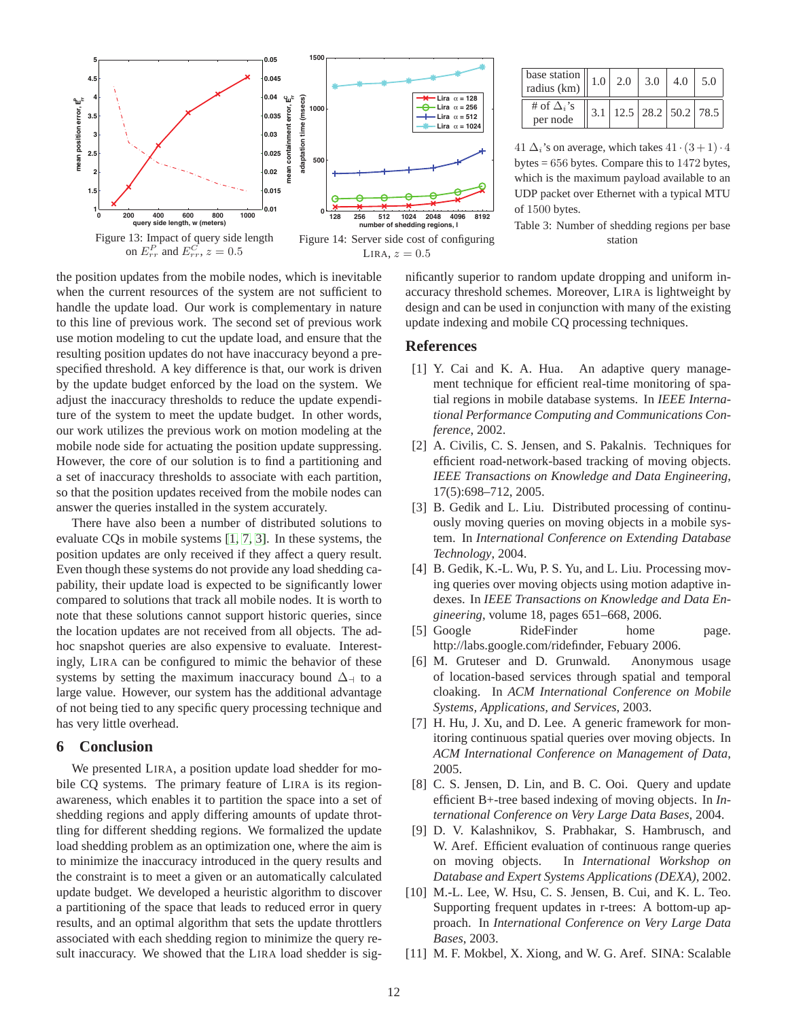![](_page_11_Figure_0.jpeg)

<span id="page-11-11"></span>the position updates from the mobile nodes, which is inevitable when the current resources of the system are not sufficient to handle the update load. Our work is complementary in nature to this line of previous work. The second set of previous work use motion modeling to cut the update load, and ensure that the resulting position updates do not have inaccuracy beyond a prespecified threshold. A key difference is that, our work is driven by the update budget enforced by the load on the system. We adjust the inaccuracy thresholds to reduce the update expenditure of the system to meet the update budget. In other words, our work utilizes the previous work on motion modeling at the mobile node side for actuating the position update suppressing. However, the core of our solution is to find a partitioning and a set of inaccuracy thresholds to associate with each partition, so that the position updates received from the mobile nodes can answer the queries installed in the system accurately.

There have also been a number of distributed solutions to evaluate CQs in mobile systems [\[1,](#page-11-5) [7,](#page-11-2) [3\]](#page-11-4). In these systems, the position updates are only received if they affect a query result. Even though these systems do not provide any load shedding capability, their update load is expected to be significantly lower compared to solutions that track all mobile nodes. It is worth to note that these solutions cannot support historic queries, since the location updates are not received from all objects. The adhoc snapshot queries are also expensive to evaluate. Interestingly, LIRA can be configured to mimic the behavior of these systems by setting the maximum inaccuracy bound  $\Delta$  to a large value. However, our system has the additional advantage of not being tied to any specific query processing technique and has very little overhead.

# **6 Conclusion**

We presented LIRA, a position update load shedder for mobile CQ systems. The primary feature of LIRA is its regionawareness, which enables it to partition the space into a set of shedding regions and apply differing amounts of update throttling for different shedding regions. We formalized the update load shedding problem as an optimization one, where the aim is to minimize the inaccuracy introduced in the query results and the constraint is to meet a given or an automatically calculated update budget. We developed a heuristic algorithm to discover a partitioning of the space that leads to reduced error in query results, and an optimal algorithm that sets the update throttlers associated with each shedding region to minimize the query result inaccuracy. We showed that the LIRA load shedder is sig-

| $\sqrt{\text{base}\text{ station}}$   1.0   2.0   3.0  <br>radius (km) |  |                                   | 4.0 | 5.0 |
|------------------------------------------------------------------------|--|-----------------------------------|-----|-----|
| # of $\Delta_i$ 's<br>per node                                         |  | $3.1$   12.5   28.2   50.2   78.5 |     |     |

41  $\Delta_i$ 's on average, which takes  $41 \cdot (3 + 1) \cdot 4$ bytes = 656 bytes. Compare this to 1472 bytes, which is the maximum payload available to an UDP packet over Ethernet with a typical MTU of 1500 bytes.

<span id="page-11-13"></span>Table 3: Number of shedding regions per base station

<span id="page-11-12"></span>nificantly superior to random update dropping and uniform inaccuracy threshold schemes. Moreover, LIRA is lightweight by design and can be used in conjunction with many of the existing update indexing and mobile CQ processing techniques.

# <span id="page-11-5"></span>**References**

- [1] Y. Cai and K. A. Hua. An adaptive query management technique for efficient real-time monitoring of spatial regions in mobile database systems. In *IEEE International Performance Computing and Communications Conference*, 2002.
- <span id="page-11-8"></span>[2] A. Civilis, C. S. Jensen, and S. Pakalnis. Techniques for efficient road-network-based tracking of moving objects. *IEEE Transactions on Knowledge and Data Engineering*, 17(5):698–712, 2005.
- <span id="page-11-4"></span>[3] B. Gedik and L. Liu. Distributed processing of continuously moving queries on moving objects in a mobile system. In *International Conference on Extending Database Technology*, 2004.
- <span id="page-11-3"></span>[4] B. Gedik, K.-L. Wu, P. S. Yu, and L. Liu. Processing moving queries over moving objects using motion adaptive indexes. In *IEEE Transactions on Knowledge and Data Engineering*, volume 18, pages 651–668, 2006.
- <span id="page-11-0"></span>[5] Google RideFinder home page. http://labs.google.com/ridefinder, Febuary 2006.
- <span id="page-11-10"></span>[6] M. Gruteser and D. Grunwald. Anonymous usage of location-based services through spatial and temporal cloaking. In *ACM International Conference on Mobile Systems, Applications, and Services*, 2003.
- <span id="page-11-2"></span>[7] H. Hu, J. Xu, and D. Lee. A generic framework for monitoring continuous spatial queries over moving objects. In *ACM International Conference on Management of Data*, 2005.
- <span id="page-11-6"></span>[8] C. S. Jensen, D. Lin, and B. C. Ooi. Query and update efficient B+-tree based indexing of moving objects. In *International Conference on Very Large Data Bases*, 2004.
- <span id="page-11-9"></span>[9] D. V. Kalashnikov, S. Prabhakar, S. Hambrusch, and W. Aref. Efficient evaluation of continuous range queries on moving objects. In *International Workshop on Database and Expert Systems Applications (DEXA)*, 2002.
- <span id="page-11-7"></span>[10] M.-L. Lee, W. Hsu, C. S. Jensen, B. Cui, and K. L. Teo. Supporting frequent updates in r-trees: A bottom-up approach. In *International Conference on Very Large Data Bases*, 2003.
- <span id="page-11-1"></span>[11] M. F. Mokbel, X. Xiong, and W. G. Aref. SINA: Scalable